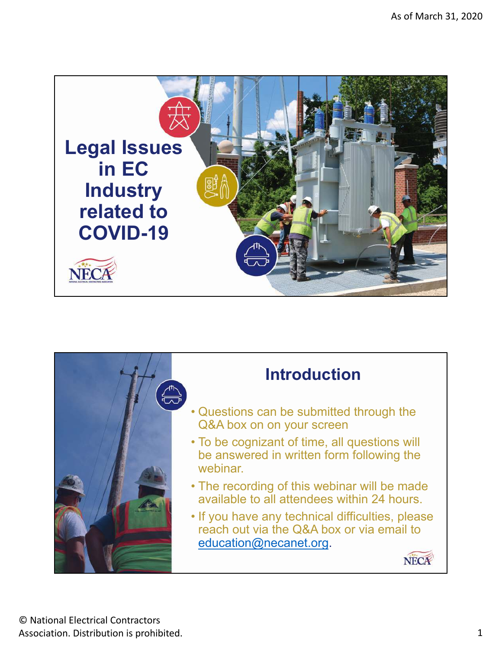

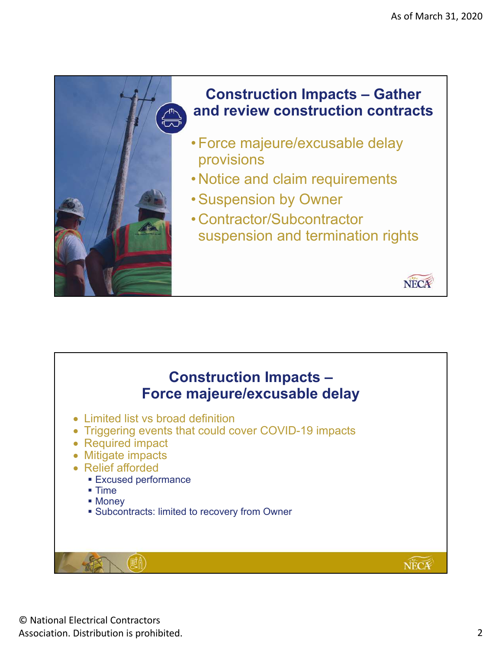

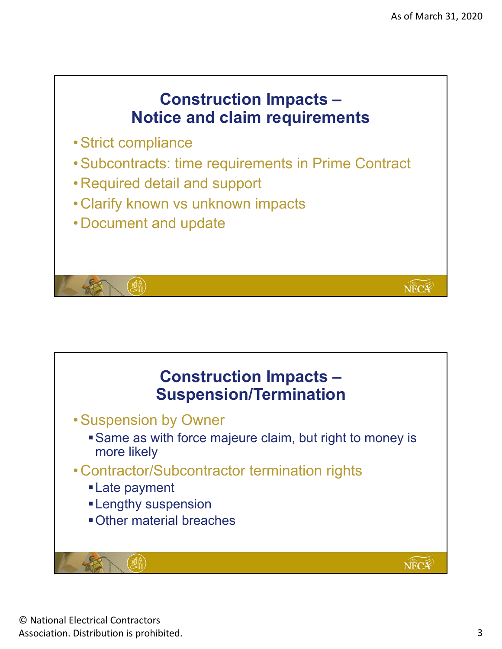NECA

## **Construction Impacts – Notice and claim requirements**

- Strict compliance
- Subcontracts: time requirements in Prime Contract
- Required detail and support
- Clarify known vs unknown impacts
- Document and update

(顧高)

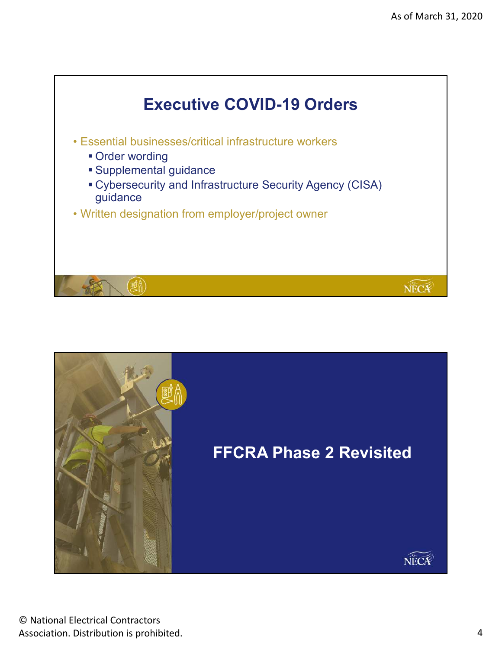

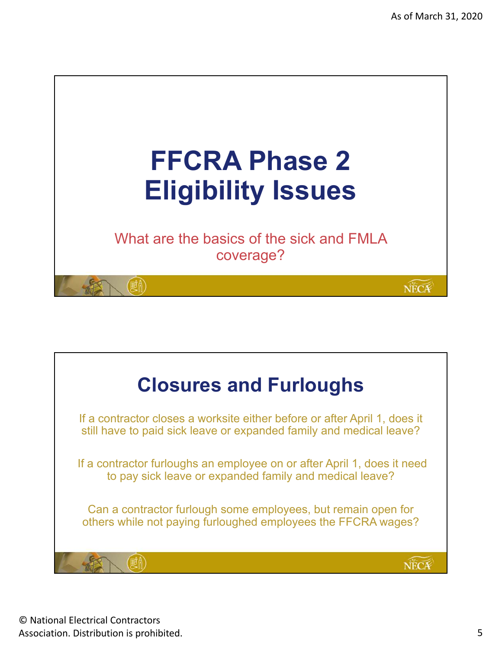

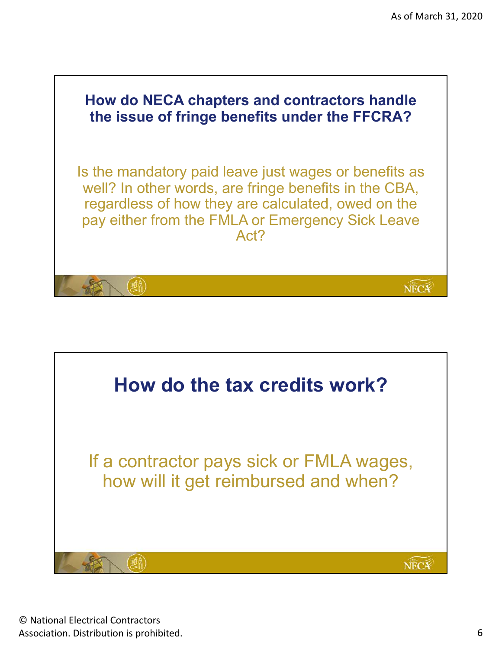

![](_page_5_Picture_2.jpeg)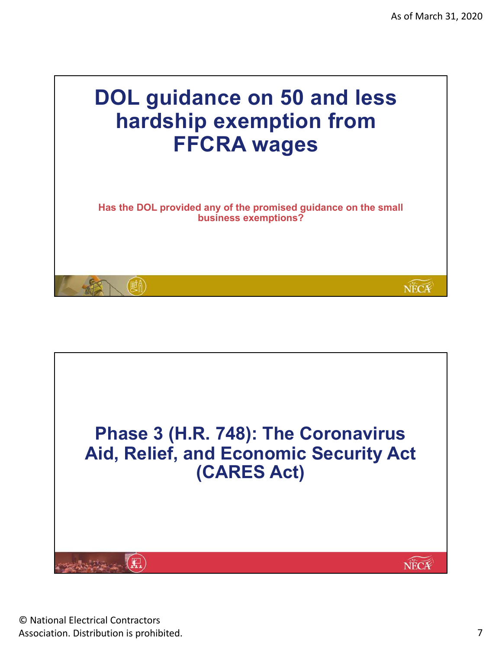![](_page_6_Picture_1.jpeg)

![](_page_6_Picture_2.jpeg)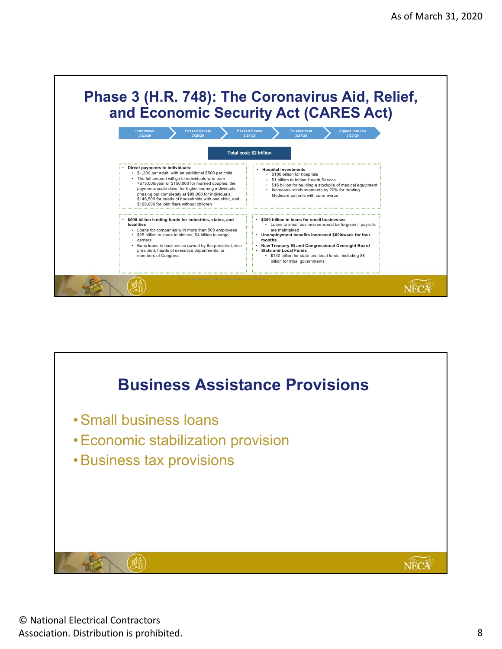![](_page_7_Picture_1.jpeg)

![](_page_7_Picture_2.jpeg)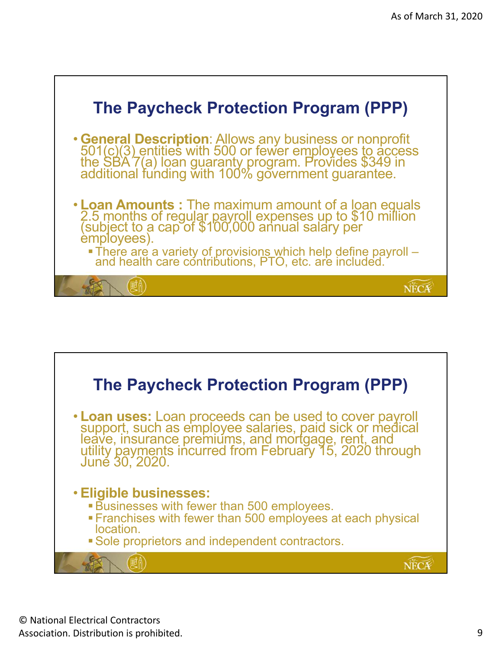![](_page_8_Figure_1.jpeg)

![](_page_8_Figure_2.jpeg)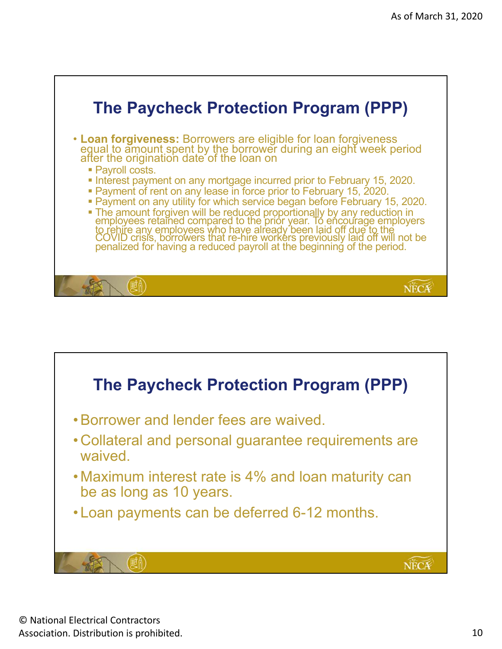![](_page_9_Figure_1.jpeg)

![](_page_9_Figure_2.jpeg)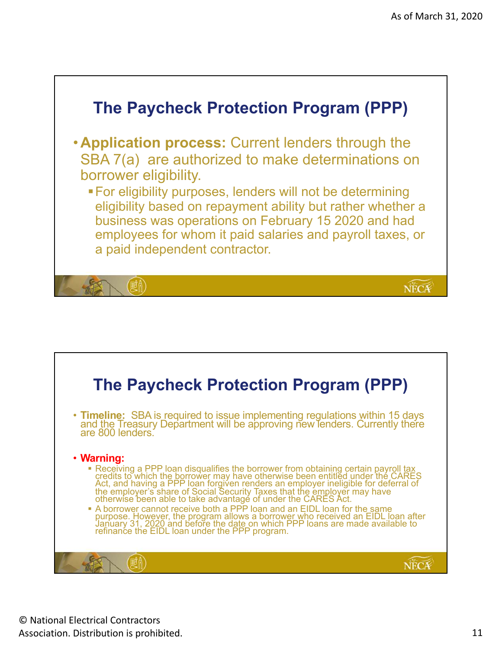![](_page_10_Figure_1.jpeg)

![](_page_10_Figure_2.jpeg)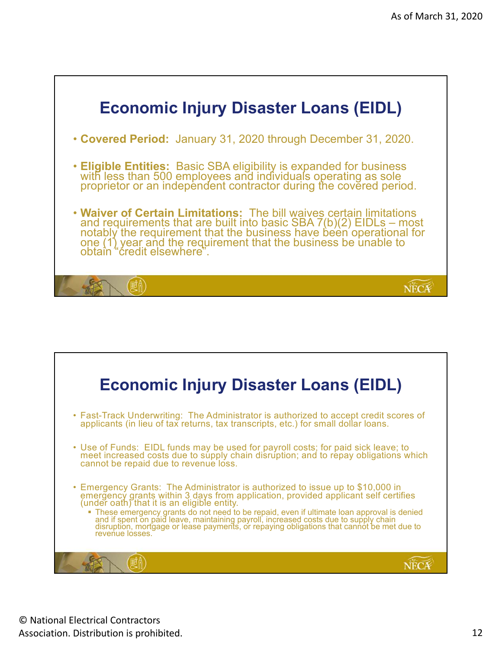![](_page_11_Figure_1.jpeg)

![](_page_11_Picture_2.jpeg)

© National Electrical Contractors Association. Distribution is prohibited. 12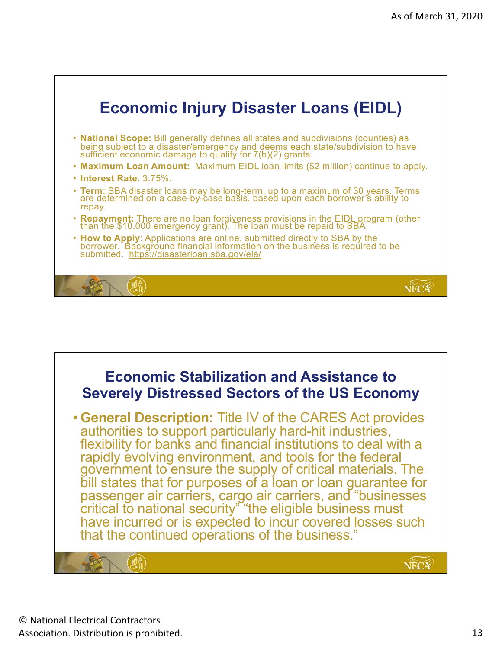![](_page_12_Figure_1.jpeg)

![](_page_12_Picture_2.jpeg)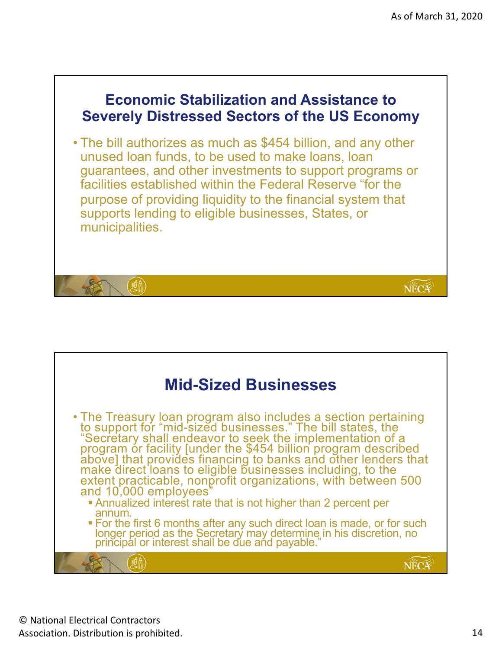![](_page_13_Picture_1.jpeg)

![](_page_13_Figure_2.jpeg)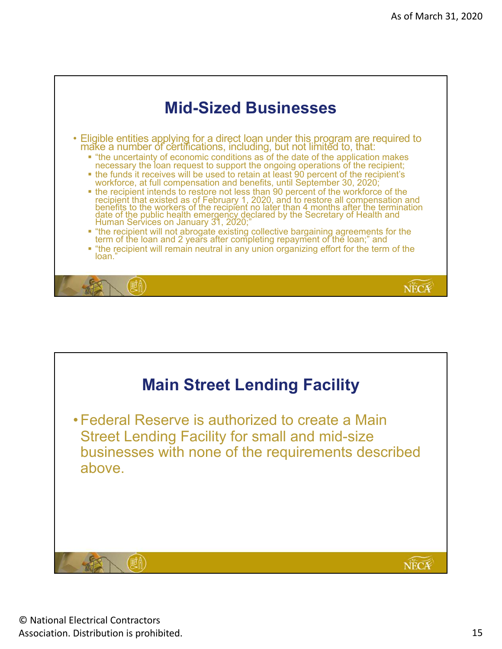![](_page_14_Figure_1.jpeg)

![](_page_14_Picture_2.jpeg)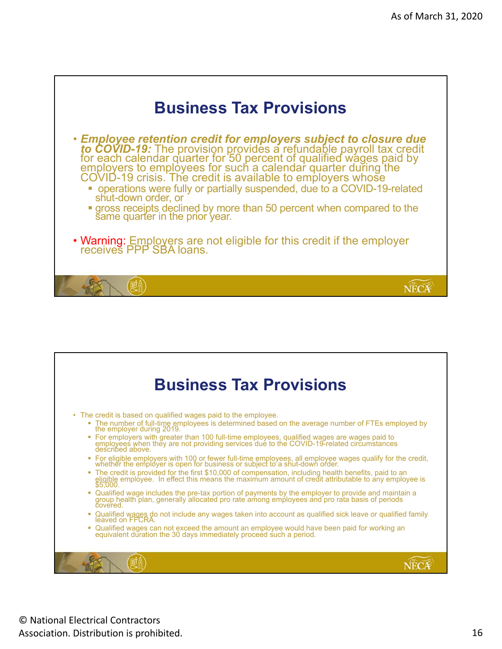![](_page_15_Figure_1.jpeg)

![](_page_15_Picture_2.jpeg)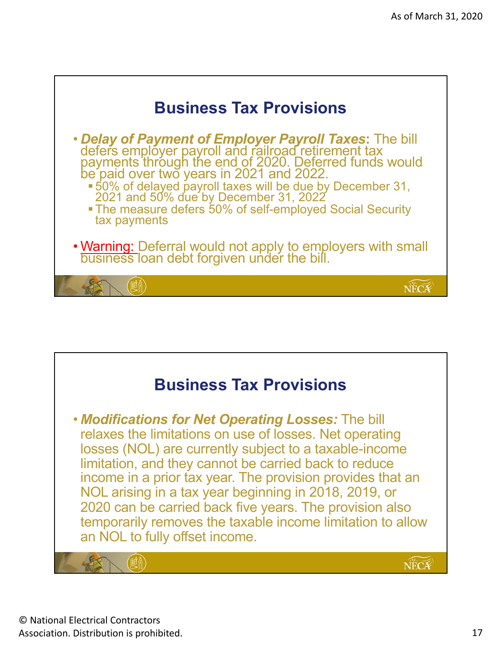![](_page_16_Figure_1.jpeg)

![](_page_16_Picture_2.jpeg)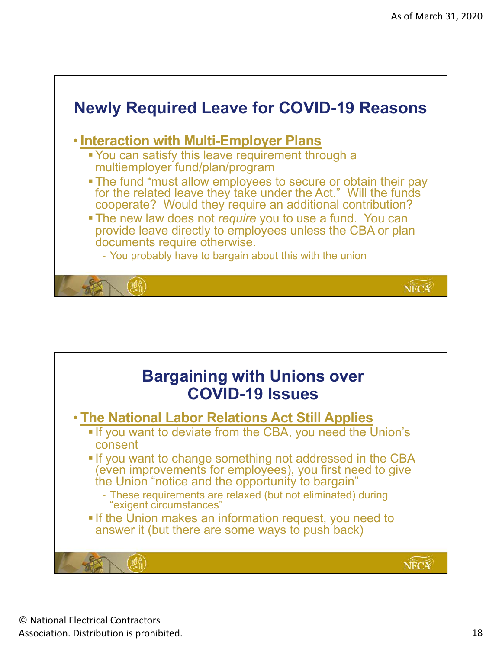![](_page_17_Figure_1.jpeg)

![](_page_17_Picture_2.jpeg)